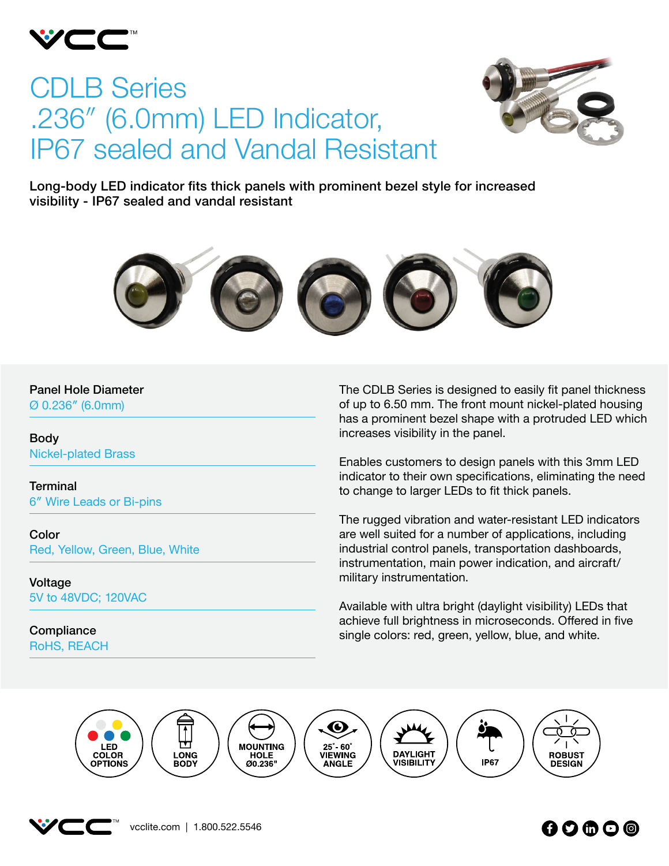

## CDLB Series .236″ (6.0mm) LED Indicator, IP67 sealed and Vandal Resistant



Long-body LED indicator fits thick panels with prominent bezel style for increased visibility - IP67 sealed and vandal resistant



## Panel Hole Diameter

Ø 0.236″ (6.0mm)

Body Nickel-plated Brass

**Terminal** 6″ Wire Leads or Bi-pins

Color Red, Yellow, Green, Blue, White

Voltage 5V to 48VDC; 120VAC

**Compliance** RoHS, REACH The CDLB Series is designed to easily fit panel thickness of up to 6.50 mm. The front mount nickel-plated housing has a prominent bezel shape with a protruded LED which increases visibility in the panel.

Enables customers to design panels with this 3mm LED indicator to their own specifications, eliminating the need to change to larger LEDs to fit thick panels.

The rugged vibration and water-resistant LED indicators are well suited for a number of applications, including industrial control panels, transportation dashboards, instrumentation, main power indication, and aircraft/ military instrumentation.

Available with ultra bright (daylight visibility) LEDs that achieve full brightness in microseconds. Offered in five single colors: red, green, yellow, blue, and white.